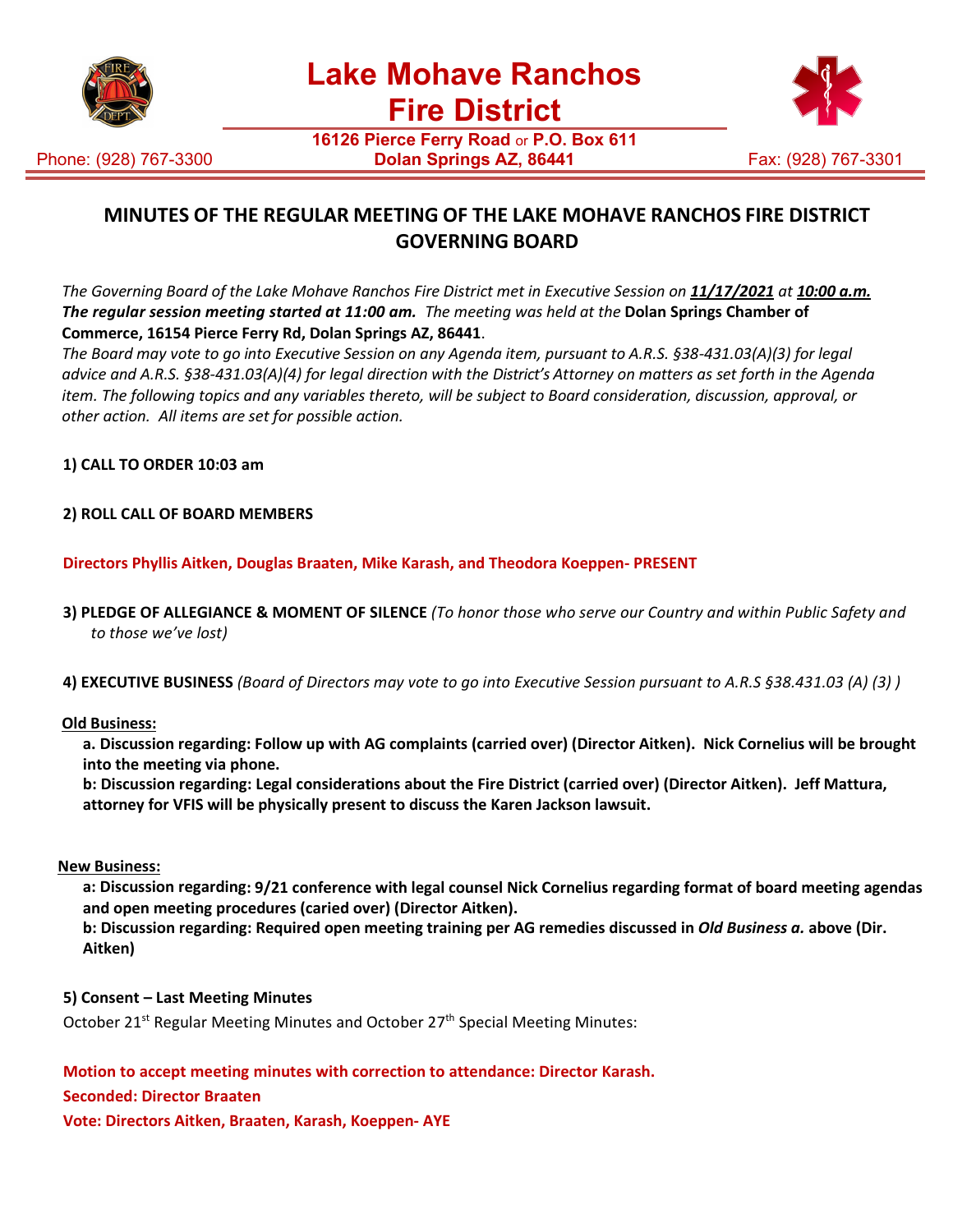





**16126 Pierce Ferry Road** or **P.O. Box 611 Dolan Springs AZ, 86441** Fax: (928) 767-3301

# **MINUTES OF THE REGULAR MEETING OF THE LAKE MOHAVE RANCHOS FIRE DISTRICT GOVERNING BOARD**

The Governing Board of the Lake Mohave Ranchos Fire District met in Executive Session on 11/17/2021 at 10:00 a.m. *The regular session meeting started at 11:00 am. The meeting was held at the* **Dolan Springs Chamber of Commerce, 16154 Pierce Ferry Rd, Dolan Springs AZ, 86441**.

*The Board may vote to go into Executive Session on any Agenda item, pursuant to A.R.S. §38-431.03(A)(3) for legal advice and A.R.S. §38-431.03(A)(4) for legal direction with the District's Attorney on matters as set forth in the Agenda item. The following topics and any variables thereto, will be subject to Board consideration, discussion, approval, or other action. All items are set for possible action.*

**1) CALL TO ORDER 10:03 am**

# **2) ROLL CALL OF BOARD MEMBERS**

**Directors Phyllis Aitken, Douglas Braaten, Mike Karash, and Theodora Koeppen- PRESENT**

- **3) PLEDGE OF ALLEGIANCE & MOMENT OF SILENCE** *(To honor those who serve our Country and within Public Safety and to those we've lost)*
- **4) EXECUTIVE BUSINESS** *(Board of Directors may vote to go into Executive Session pursuant to A.R.S §38.431.03 (A) (3) )*

#### **Old Business:**

**a. Discussion regarding: Follow up with AG complaints (carried over) (Director Aitken). Nick Cornelius will be brought into the meeting via phone.**

**b: Discussion regarding: Legal considerations about the Fire District (carried over) (Director Aitken). Jeff Mattura, attorney for VFIS will be physically present to discuss the Karen Jackson lawsuit.**

#### **New Business:**

**a: Discussion regarding: 9/21 conference with legal counsel Nick Cornelius regarding format of board meeting agendas and open meeting procedures (caried over) (Director Aitken).**

**b: Discussion regarding: Required open meeting training per AG remedies discussed in** *Old Business a.* **above (Dir. Aitken)**

#### **5) Consent – Last Meeting Minutes**

October 21<sup>st</sup> Regular Meeting Minutes and October 27<sup>th</sup> Special Meeting Minutes:

**Motion to accept meeting minutes with correction to attendance: Director Karash.**

#### **Seconded: Director Braaten**

**Vote: Directors Aitken, Braaten, Karash, Koeppen- AYE**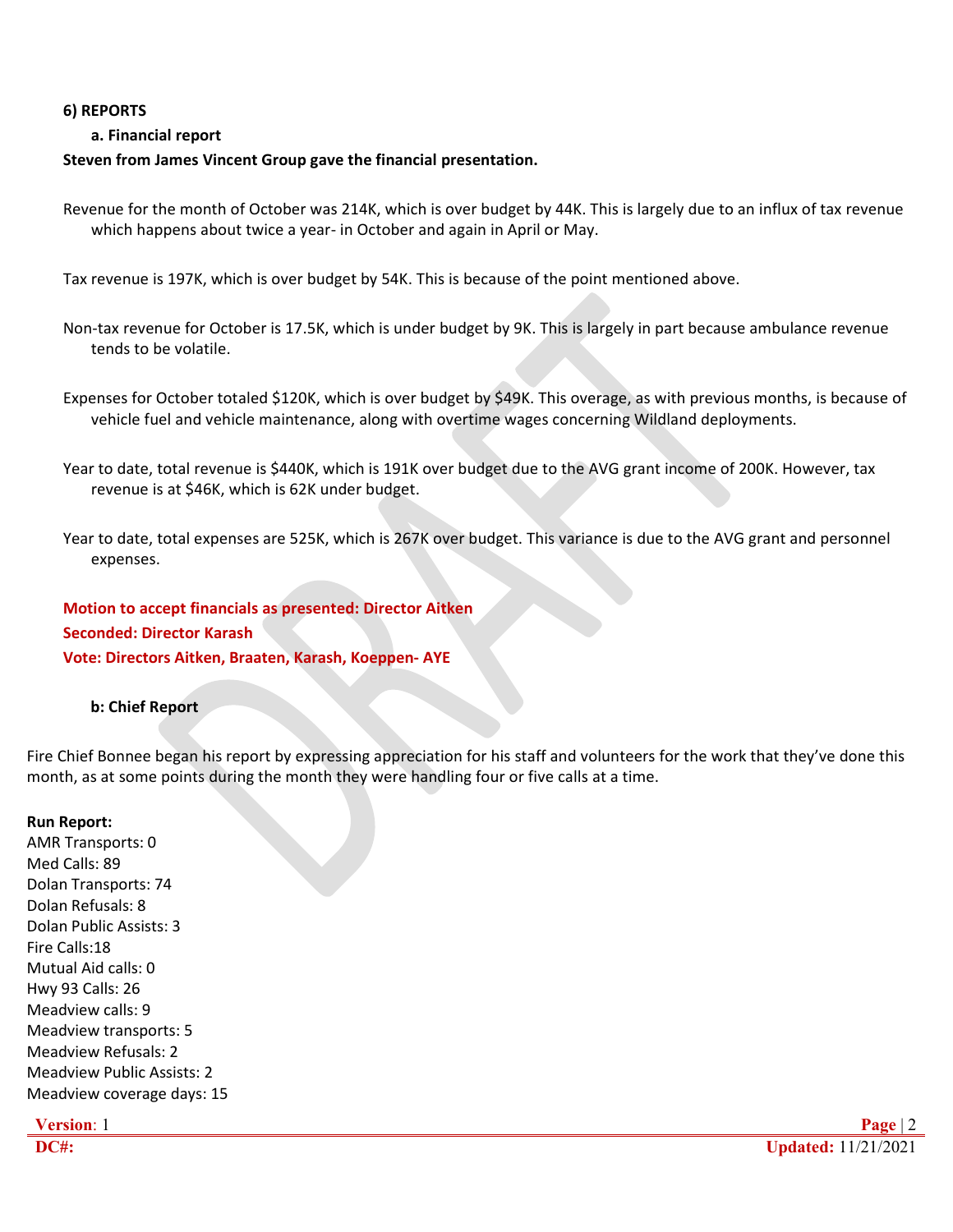### **6) REPORTS**

# **a. Financial report**

# **Steven from James Vincent Group gave the financial presentation.**

Revenue for the month of October was 214K, which is over budget by 44K. This is largely due to an influx of tax revenue which happens about twice a year- in October and again in April or May.

Tax revenue is 197K, which is over budget by 54K. This is because of the point mentioned above.

Non-tax revenue for October is 17.5K, which is under budget by 9K. This is largely in part because ambulance revenue tends to be volatile.

Expenses for October totaled \$120K, which is over budget by \$49K. This overage, as with previous months, is because of vehicle fuel and vehicle maintenance, along with overtime wages concerning Wildland deployments.

Year to date, total revenue is \$440K, which is 191K over budget due to the AVG grant income of 200K. However, tax revenue is at \$46K, which is 62K under budget.

Year to date, total expenses are 525K, which is 267K over budget. This variance is due to the AVG grant and personnel expenses.

**Motion to accept financials as presented: Director Aitken Seconded: Director Karash Vote: Directors Aitken, Braaten, Karash, Koeppen- AYE**

# **b: Chief Report**

Fire Chief Bonnee began his report by expressing appreciation for his staff and volunteers for the work that they've done this month, as at some points during the month they were handling four or five calls at a time.

#### **Run Report:**

AMR Transports: 0 Med Calls: 89 Dolan Transports: 74 Dolan Refusals: 8 Dolan Public Assists: 3 Fire Calls:18 Mutual Aid calls: 0 Hwy 93 Calls: 26 Meadview calls: 9 Meadview transports: 5 Meadview Refusals: 2 Meadview Public Assists: 2 Meadview coverage days: 15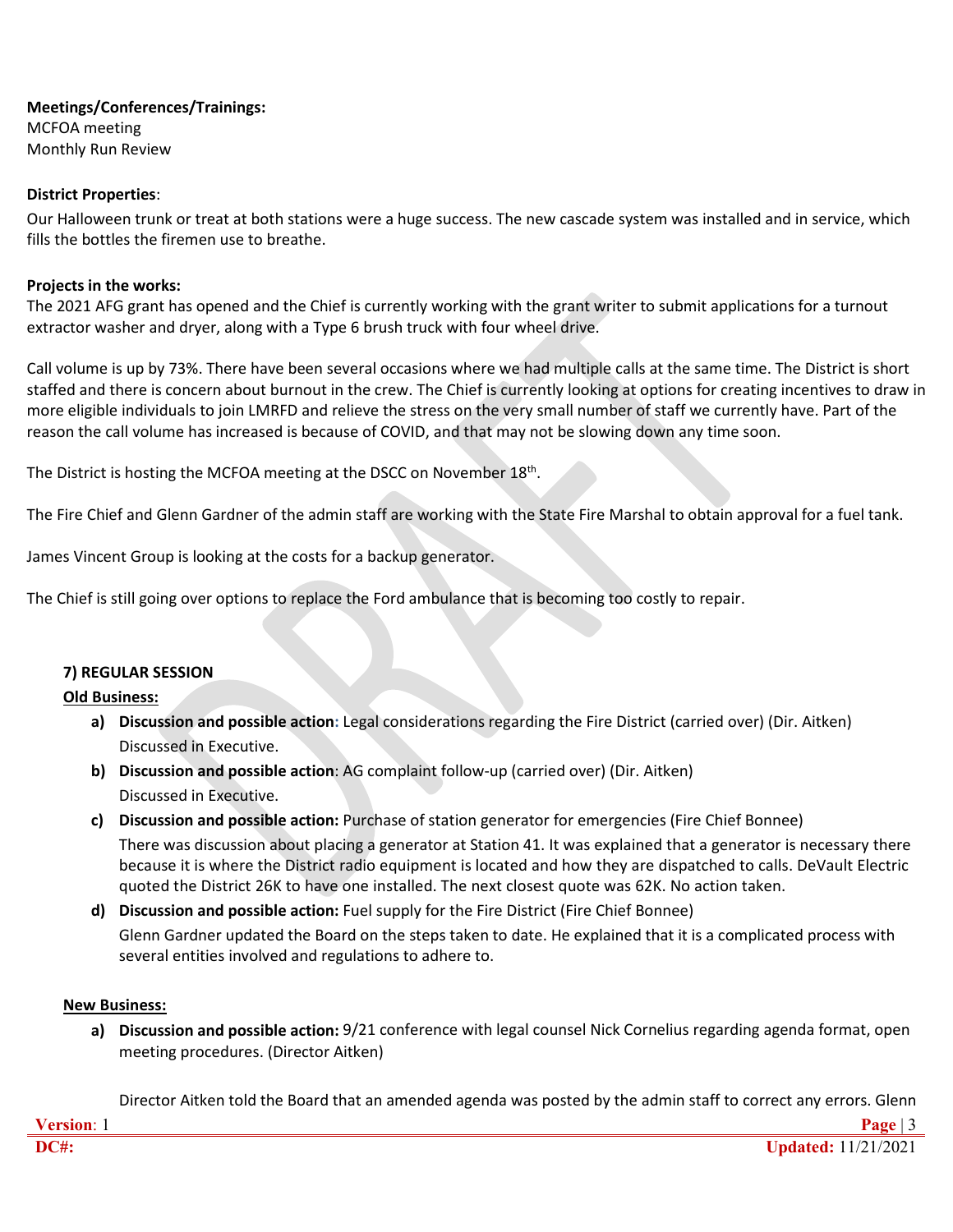#### **Meetings/Conferences/Trainings:** MCFOA meeting Monthly Run Review

# **District Properties**:

Our Halloween trunk or treat at both stations were a huge success. The new cascade system was installed and in service, which fills the bottles the firemen use to breathe.

#### **Projects in the works:**

The 2021 AFG grant has opened and the Chief is currently working with the grant writer to submit applications for a turnout extractor washer and dryer, along with a Type 6 brush truck with four wheel drive.

Call volume is up by 73%. There have been several occasions where we had multiple calls at the same time. The District is short staffed and there is concern about burnout in the crew. The Chief is currently looking at options for creating incentives to draw in more eligible individuals to join LMRFD and relieve the stress on the very small number of staff we currently have. Part of the reason the call volume has increased is because of COVID, and that may not be slowing down any time soon.

The District is hosting the MCFOA meeting at the DSCC on November 18<sup>th</sup>.

The Fire Chief and Glenn Gardner of the admin staff are working with the State Fire Marshal to obtain approval for a fuel tank.

James Vincent Group is looking at the costs for a backup generator.

The Chief is still going over options to replace the Ford ambulance that is becoming too costly to repair.

# **7) REGULAR SESSION**

# **Old Business:**

- **a) Discussion and possible action:** Legal considerations regarding the Fire District (carried over) (Dir. Aitken) Discussed in Executive.
- **b) Discussion and possible action**: AG complaint follow-up (carried over) (Dir. Aitken) Discussed in Executive.
- **c) Discussion and possible action:** Purchase of station generator for emergencies (Fire Chief Bonnee) There was discussion about placing a generator at Station 41. It was explained that a generator is necessary there because it is where the District radio equipment is located and how they are dispatched to calls. DeVault Electric quoted the District 26K to have one installed. The next closest quote was 62K. No action taken.
- **d) Discussion and possible action:** Fuel supply for the Fire District (Fire Chief Bonnee)

Glenn Gardner updated the Board on the steps taken to date. He explained that it is a complicated process with several entities involved and regulations to adhere to.

#### **New Business:**

**a) Discussion and possible action:** 9/21 conference with legal counsel Nick Cornelius regarding agenda format, open meeting procedures. (Director Aitken)

Director Aitken told the Board that an amended agenda was posted by the admin staff to correct any errors. Glenn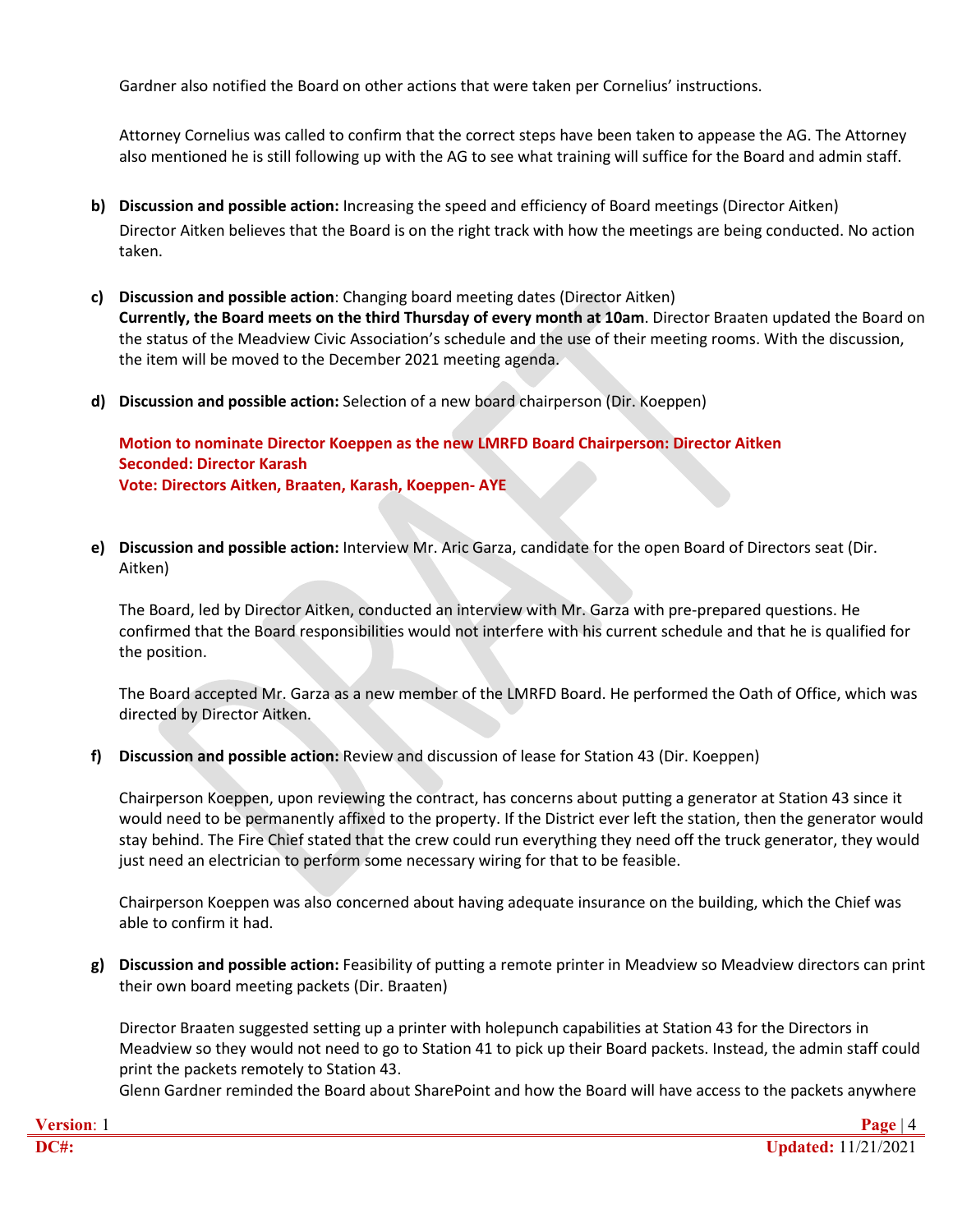Gardner also notified the Board on other actions that were taken per Cornelius' instructions.

Attorney Cornelius was called to confirm that the correct steps have been taken to appease the AG. The Attorney also mentioned he is still following up with the AG to see what training will suffice for the Board and admin staff.

- **b) Discussion and possible action:** Increasing the speed and efficiency of Board meetings (Director Aitken) Director Aitken believes that the Board is on the right track with how the meetings are being conducted. No action taken.
- **c) Discussion and possible action**: Changing board meeting dates (Director Aitken) **Currently, the Board meets on the third Thursday of every month at 10am**. Director Braaten updated the Board on the status of the Meadview Civic Association's schedule and the use of their meeting rooms. With the discussion, the item will be moved to the December 2021 meeting agenda.
- **d) Discussion and possible action:** Selection of a new board chairperson (Dir. Koeppen)

**Motion to nominate Director Koeppen as the new LMRFD Board Chairperson: Director Aitken Seconded: Director Karash Vote: Directors Aitken, Braaten, Karash, Koeppen- AYE**

**e) Discussion and possible action:** Interview Mr. Aric Garza, candidate for the open Board of Directors seat (Dir. Aitken)

The Board, led by Director Aitken, conducted an interview with Mr. Garza with pre-prepared questions. He confirmed that the Board responsibilities would not interfere with his current schedule and that he is qualified for the position.

The Board accepted Mr. Garza as a new member of the LMRFD Board. He performed the Oath of Office, which was directed by Director Aitken.

**f) Discussion and possible action:** Review and discussion of lease for Station 43 (Dir. Koeppen)

Chairperson Koeppen, upon reviewing the contract, has concerns about putting a generator at Station 43 since it would need to be permanently affixed to the property. If the District ever left the station, then the generator would stay behind. The Fire Chief stated that the crew could run everything they need off the truck generator, they would just need an electrician to perform some necessary wiring for that to be feasible.

Chairperson Koeppen was also concerned about having adequate insurance on the building, which the Chief was able to confirm it had.

**g) Discussion and possible action:** Feasibility of putting a remote printer in Meadview so Meadview directors can print their own board meeting packets (Dir. Braaten)

Director Braaten suggested setting up a printer with holepunch capabilities at Station 43 for the Directors in Meadview so they would not need to go to Station 41 to pick up their Board packets. Instead, the admin staff could print the packets remotely to Station 43.

Glenn Gardner reminded the Board about SharePoint and how the Board will have access to the packets anywhere